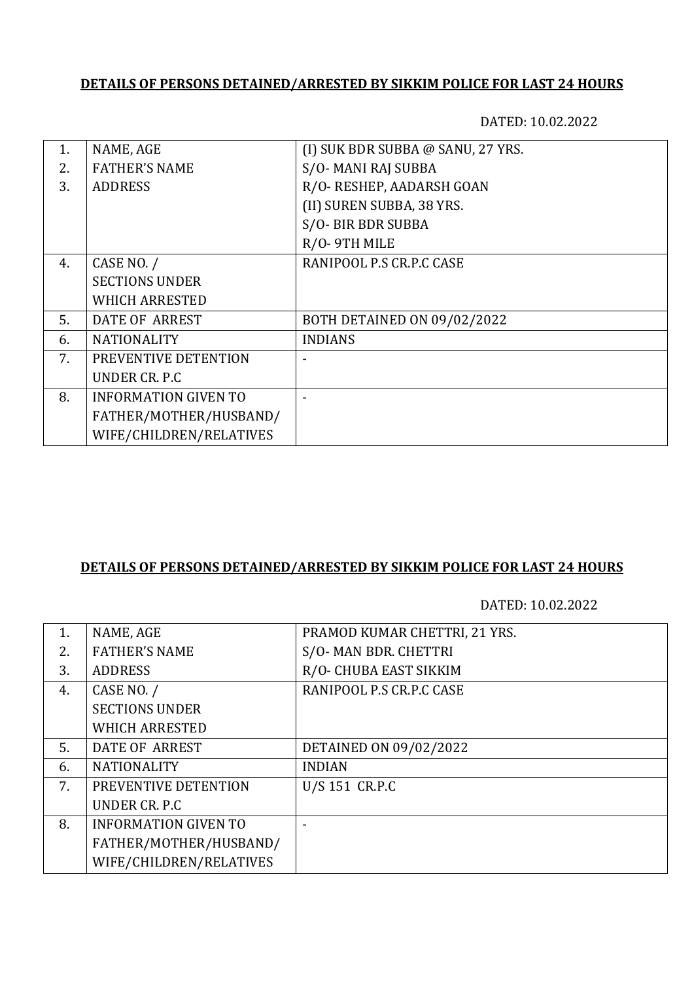## **DETAILS OF PERSONS DETAINED/ARRESTED BY SIKKIM POLICE FOR LAST 24 HOURS**

DATED: 10.02.2022

| $1_{-}$ | NAME, AGE                   | (I) SUK BDR SUBBA @ SANU, 27 YRS. |
|---------|-----------------------------|-----------------------------------|
| 2.      | <b>FATHER'S NAME</b>        | S/O-MANI RAJ SUBBA                |
| 3.      | <b>ADDRESS</b>              | R/O- RESHEP, AADARSH GOAN         |
|         |                             | (II) SUREN SUBBA, 38 YRS.         |
|         |                             | S/O- BIR BDR SUBBA                |
|         |                             | R/O-9TH MILE                      |
| 4.      | CASE NO. /                  | RANIPOOL P.S CR.P.C CASE          |
|         | <b>SECTIONS UNDER</b>       |                                   |
|         | <b>WHICH ARRESTED</b>       |                                   |
| 5.      | <b>DATE OF ARREST</b>       | BOTH DETAINED ON 09/02/2022       |
| 6.      | <b>NATIONALITY</b>          | <b>INDIANS</b>                    |
| 7.      | PREVENTIVE DETENTION        |                                   |
|         | UNDER CR. P.C.              |                                   |
| 8.      | <b>INFORMATION GIVEN TO</b> |                                   |
|         | FATHER/MOTHER/HUSBAND/      |                                   |
|         | WIFE/CHILDREN/RELATIVES     |                                   |
|         |                             |                                   |

### **DETAILS OF PERSONS DETAINED/ARRESTED BY SIKKIM POLICE FOR LAST 24 HOURS**

DATED: 10.02.2022

| 1. | NAME, AGE                   | PRAMOD KUMAR CHETTRI, 21 YRS. |
|----|-----------------------------|-------------------------------|
| 2. | <b>FATHER'S NAME</b>        | S/O-MAN BDR. CHETTRI          |
| 3. | <b>ADDRESS</b>              | R/O- CHUBA EAST SIKKIM        |
| 4. | CASE NO. /                  | RANIPOOL P.S CR.P.C CASE      |
|    | <b>SECTIONS UNDER</b>       |                               |
|    | <b>WHICH ARRESTED</b>       |                               |
| 5. | DATE OF ARREST              | DETAINED ON 09/02/2022        |
| 6. | <b>NATIONALITY</b>          | <b>INDIAN</b>                 |
| 7. | PREVENTIVE DETENTION        | U/S 151 CR.P.C                |
|    | UNDER CR. P.C.              |                               |
| 8. | <b>INFORMATION GIVEN TO</b> |                               |
|    | FATHER/MOTHER/HUSBAND/      |                               |
|    | WIFE/CHILDREN/RELATIVES     |                               |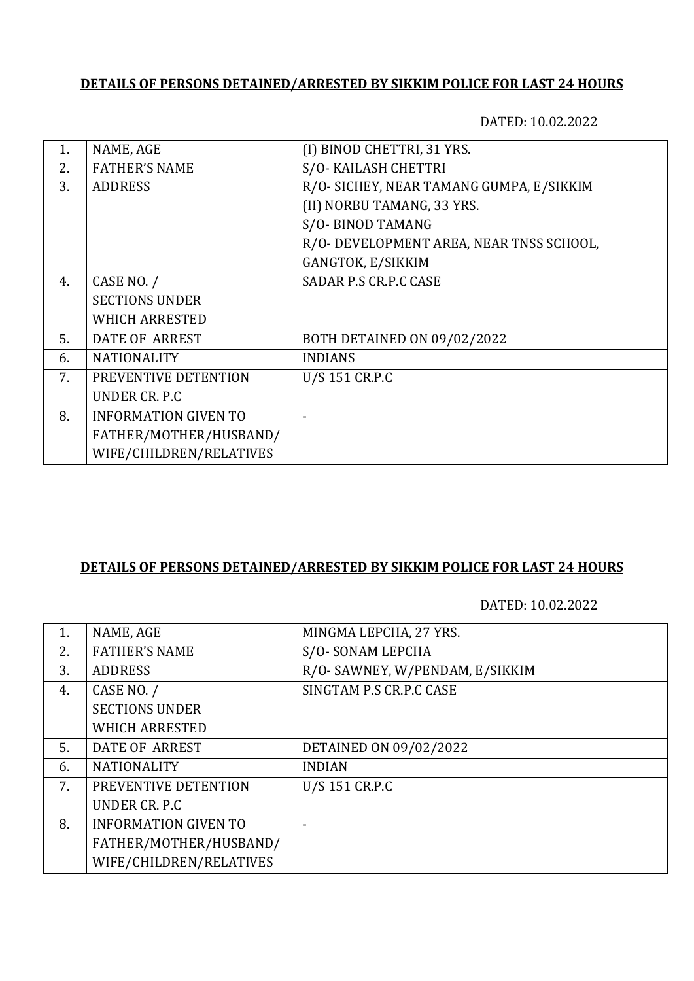# **DETAILS OF PERSONS DETAINED/ARRESTED BY SIKKIM POLICE FOR LAST 24 HOURS**

DATED: 10.02.2022

| 1.             | NAME, AGE                   | (I) BINOD CHETTRI, 31 YRS.               |
|----------------|-----------------------------|------------------------------------------|
| 2 <sub>1</sub> | <b>FATHER'S NAME</b>        | S/O- KAILASH CHETTRI                     |
| 3.             | <b>ADDRESS</b>              | R/O- SICHEY, NEAR TAMANG GUMPA, E/SIKKIM |
|                |                             | (II) NORBU TAMANG, 33 YRS.               |
|                |                             | S/O-BINOD TAMANG                         |
|                |                             | R/O- DEVELOPMENT AREA, NEAR TNSS SCHOOL, |
|                |                             | GANGTOK, E/SIKKIM                        |
| 4.             | CASE NO. /                  | SADAR P.S CR.P.C CASE                    |
|                | <b>SECTIONS UNDER</b>       |                                          |
|                | <b>WHICH ARRESTED</b>       |                                          |
| 5.             | <b>DATE OF ARREST</b>       | BOTH DETAINED ON 09/02/2022              |
| 6.             | <b>NATIONALITY</b>          | <b>INDIANS</b>                           |
| 7.             | PREVENTIVE DETENTION        | U/S 151 CR.P.C                           |
|                | UNDER CR. P.C.              |                                          |
| 8.             | <b>INFORMATION GIVEN TO</b> |                                          |
|                | FATHER/MOTHER/HUSBAND/      |                                          |
|                | WIFE/CHILDREN/RELATIVES     |                                          |
|                |                             |                                          |

#### **DETAILS OF PERSONS DETAINED/ARRESTED BY SIKKIM POLICE FOR LAST 24 HOURS**

DATED: 10.02.2022

| 1. | NAME, AGE                   | MINGMA LEPCHA, 27 YRS.          |
|----|-----------------------------|---------------------------------|
| 2. | <b>FATHER'S NAME</b>        | S/O-SONAM LEPCHA                |
| 3. | <b>ADDRESS</b>              | R/O- SAWNEY, W/PENDAM, E/SIKKIM |
| 4. | CASE NO. /                  | SINGTAM P.S CR.P.C CASE         |
|    | <b>SECTIONS UNDER</b>       |                                 |
|    | <b>WHICH ARRESTED</b>       |                                 |
| 5. | DATE OF ARREST              | DETAINED ON 09/02/2022          |
| 6. | <b>NATIONALITY</b>          | <b>INDIAN</b>                   |
| 7. | PREVENTIVE DETENTION        | U/S 151 CR.P.C                  |
|    | UNDER CR. P.C.              |                                 |
| 8. | <b>INFORMATION GIVEN TO</b> |                                 |
|    | FATHER/MOTHER/HUSBAND/      |                                 |
|    | WIFE/CHILDREN/RELATIVES     |                                 |